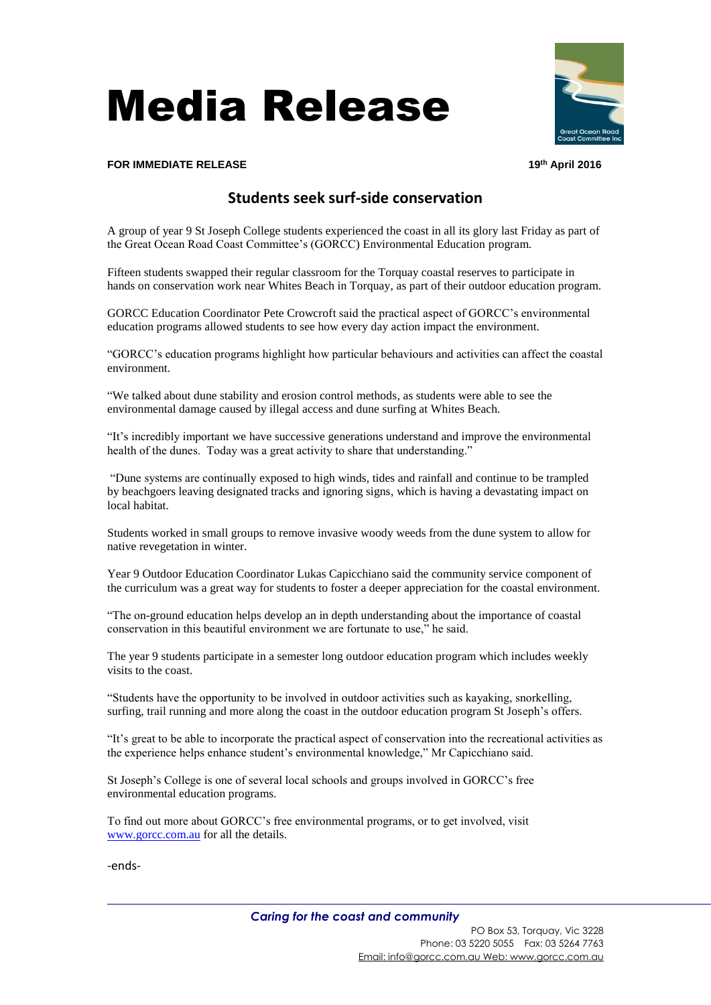## Media Release



## **FOR IMMEDIATE RELEASE 19th April 2016**

## **Students seek surf-side conservation**

A group of year 9 St Joseph College students experienced the coast in all its glory last Friday as part of the Great Ocean Road Coast Committee's (GORCC) Environmental Education program.

Fifteen students swapped their regular classroom for the Torquay coastal reserves to participate in hands on conservation work near Whites Beach in Torquay, as part of their outdoor education program.

GORCC Education Coordinator Pete Crowcroft said the practical aspect of GORCC's environmental education programs allowed students to see how every day action impact the environment.

"GORCC's education programs highlight how particular behaviours and activities can affect the coastal environment.

"We talked about dune stability and erosion control methods, as students were able to see the environmental damage caused by illegal access and dune surfing at Whites Beach.

"It's incredibly important we have successive generations understand and improve the environmental health of the dunes. Today was a great activity to share that understanding."

"Dune systems are continually exposed to high winds, tides and rainfall and continue to be trampled by beachgoers leaving designated tracks and ignoring signs, which is having a devastating impact on local habitat.

Students worked in small groups to remove invasive woody weeds from the dune system to allow for native revegetation in winter.

Year 9 Outdoor Education Coordinator Lukas Capicchiano said the community service component of the curriculum was a great way for students to foster a deeper appreciation for the coastal environment.

"The on-ground education helps develop an in depth understanding about the importance of coastal conservation in this beautiful environment we are fortunate to use," he said.

The year 9 students participate in a semester long outdoor education program which includes weekly visits to the coast.

"Students have the opportunity to be involved in outdoor activities such as kayaking, snorkelling, surfing, trail running and more along the coast in the outdoor education program St Joseph's offers.

"It's great to be able to incorporate the practical aspect of conservation into the recreational activities as the experience helps enhance student's environmental knowledge," Mr Capicchiano said.

St Joseph's College is one of several local schools and groups involved in GORCC's free environmental education programs.

To find out more about GORCC's free environmental programs, or to get involved, visit [www.gorcc.com.au](http://www.gorcc.com.au/) for all the details.

-ends-

Email[: info@gorcc.com.au](mailto:info@gorcc.com.au) Web[: www.gorcc.com.](http://www.gorcc.com/)au